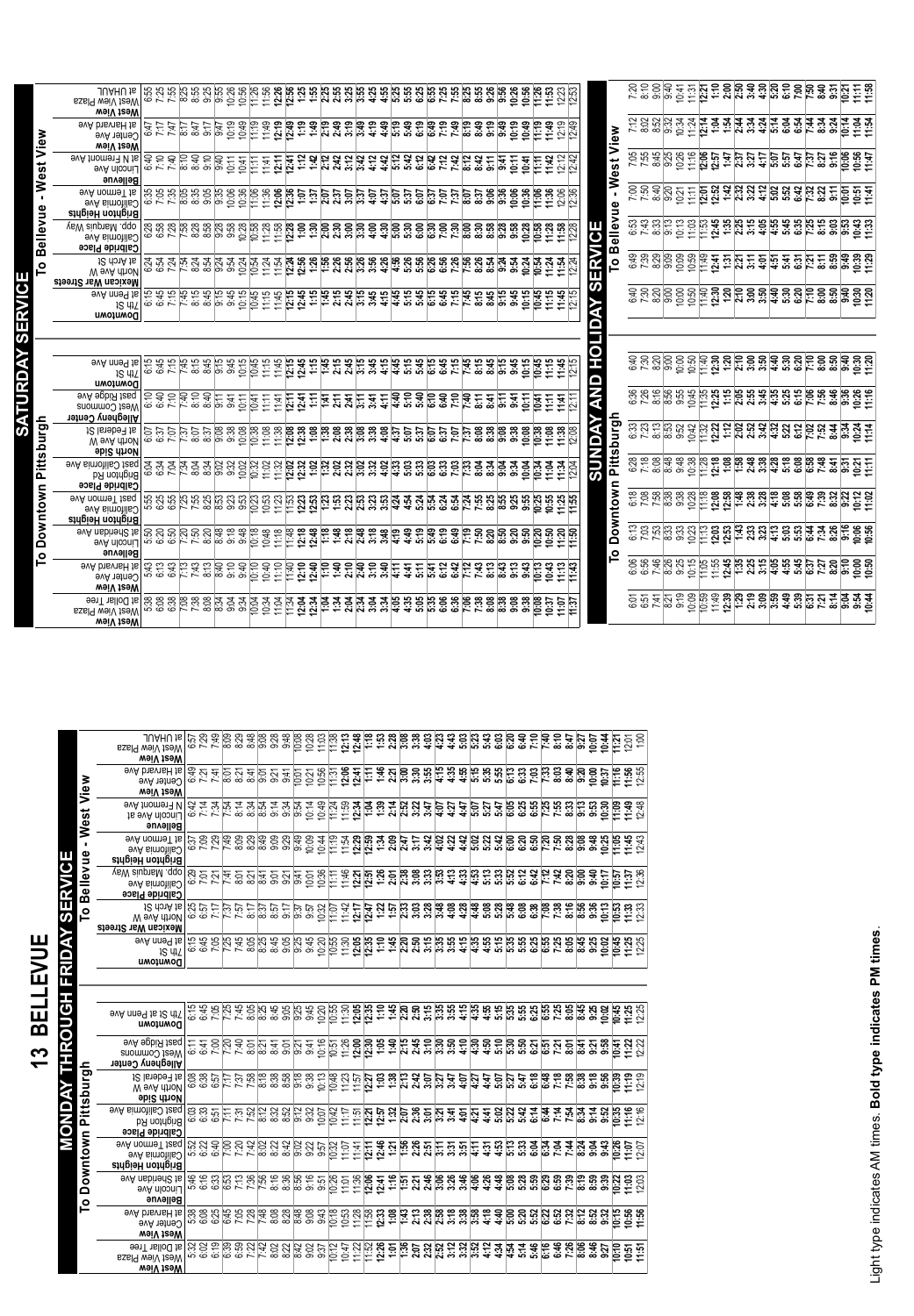|                | at UH∀UL<br>West View Plaza<br>weiV teeW                                                                                                                                      |                                                                                                                                                                                                                                   |  |  |  |                                                                                                                                                                                                                                  |  |  |  |  |  |  |  |  |                                              |                     |  |  |  |  |  |  |                                                                                                                                                                                                                                                                                                                                                                                                                                                                                                      |
|----------------|-------------------------------------------------------------------------------------------------------------------------------------------------------------------------------|-----------------------------------------------------------------------------------------------------------------------------------------------------------------------------------------------------------------------------------|--|--|--|----------------------------------------------------------------------------------------------------------------------------------------------------------------------------------------------------------------------------------|--|--|--|--|--|--|--|--|----------------------------------------------|---------------------|--|--|--|--|--|--|------------------------------------------------------------------------------------------------------------------------------------------------------------------------------------------------------------------------------------------------------------------------------------------------------------------------------------------------------------------------------------------------------------------------------------------------------------------------------------------------------|
| ້<br>ອ້        | evA bisvisH js<br>Oenter Ave<br>weiV teeW                                                                                                                                     | သည် အကြီး အကြီး အကြီး အကြီး အကြီး အကြီး အကြီး အကြီး အကြီး အကြီး အကြီး အကြီး အကြီး အကြီး အကြီး အကြီး အကြီး အကြီ<br>ကြီး အကြီး အကြီး အကြီး အကြီး အကြီး အကြီး အကြီး အကြီး အကြီး အကြီး အကြီး အကြီး အကြီး အကြီး အကြီး အကြီး အကြီး အက   |  |  |  |                                                                                                                                                                                                                                  |  |  |  |  |  |  |  |  |                                              | View                |  |  |  |  |  |  |                                                                                                                                                                                                                                                                                                                                                                                                                                                                                                      |
| ಕ<br>ه         | evA fromen∃ <i>N</i> ts<br>LIncoln Ave<br>Bellevue                                                                                                                            | ዼጜጜ፟ቘ፟ቜዸቔፘ፟ቒቝጟ፝ቑቑጜጜቑቑቑቑቑቑቑቑቑቑቑቑቑቑቑቑቑቑቑቑቑቑቑቑ<br>ቔቒቔቔቔቔቔዸቜዸ፝ቜዸ፝ቜቔቑቑቑቑቑቑቑቑቑቑቑቑቑቑቑቔ                                                                                                                                                   |  |  |  |                                                                                                                                                                                                                                  |  |  |  |  |  |  |  |  |                                              | est<br>Š            |  |  |  |  |  |  | ្ត្រី ខ្លួន ខ្លួន មន្ត្រី មន្ត្រី មន្ត្រី មន្ត្រី មន្ត្រី មន្ត្រី មន្ត្រី មន្ត្រី មន្ត្រី<br>ខ្លួន មន្ត្រី ខ្លួន មន្ត្រី មន្ត្រី មន្ត្រី មន្ត្រី មន្ត្រី មន្ត្រី មន្ត្រី មន្ត្រី មន្ត្រី                                                                                                                                                                                                                                                                                                             |
|                | avA nomnel tis<br><b>GUITOTIIE</b><br>Brighton Heights                                                                                                                        |                                                                                                                                                                                                                                   |  |  |  |                                                                                                                                                                                                                                  |  |  |  |  |  |  |  |  |                                              | $\blacksquare$<br>Φ |  |  |  |  |  |  | <u>ទ្រីមិនទី មិនដី មិនអ្នកម្លូងអ្នកម្លូងអ្នកម្លូងអ្នកម្លូងអ្នក</u><br>ខ្លួនមិនខ្លួដី មិនអ្នកម្លូងអ្នកម្លូងអ្នកម្លូងអ្នកម្លូងអ្នក                                                                                                                                                                                                                                                                                                                                                                     |
| ellevue        | vsW aiupnsM .qqo<br><b>Solitomia Ave</b><br><b>Galbride Place</b>                                                                                                             |                                                                                                                                                                                                                                   |  |  |  |                                                                                                                                                                                                                                  |  |  |  |  |  |  |  |  | <b>SIM</b>                                   | ellevu<br>മ         |  |  |  |  |  |  |                                                                                                                                                                                                                                                                                                                                                                                                                                                                                                      |
| മ<br>$\circ$   | Mexican War Streets                                                                                                                                                           |                                                                                                                                                                                                                                   |  |  |  |                                                                                                                                                                                                                                  |  |  |  |  |  |  |  |  | Ĕ                                            | $\circ$             |  |  |  |  |  |  | $\begin{array}{l} \mathfrak{S}_{\mathcal{G}} \overset{\sim}{\sim} \mathfrak{S}_{\mathcal{G}} \overset{\sim}{\sim} \mathfrak{S}_{\mathcal{G}} \overset{\sim}{\sim} \mathfrak{S}_{\mathcal{G}} \overset{\sim}{\sim} \mathfrak{S}_{\mathcal{G}} \overset{\sim}{\sim} \mathfrak{S}_{\mathcal{G}} \overset{\sim}{\sim} \mathfrak{S}_{\mathcal{G}} \overset{\sim}{\sim} \mathfrak{S}_{\mathcal{G}} \overset{\sim}{\sim} \mathfrak{S}_{\mathcal{G}} \overset{\sim}{\sim} \mathfrak{S}_{\mathcal{G}} \overs$ |
| $\epsilon$     | evA nne9 js<br>IS 4IZ<br>Downtown                                                                                                                                             |                                                                                                                                                                                                                                   |  |  |  |                                                                                                                                                                                                                                  |  |  |  |  |  |  |  |  | $\overline{\boldsymbol{\omega}}$             |                     |  |  |  |  |  |  |                                                                                                                                                                                                                                                                                                                                                                                                                                                                                                      |
|                |                                                                                                                                                                               |                                                                                                                                                                                                                                   |  |  |  |                                                                                                                                                                                                                                  |  |  |  |  |  |  |  |  |                                              |                     |  |  |  |  |  |  |                                                                                                                                                                                                                                                                                                                                                                                                                                                                                                      |
|                |                                                                                                                                                                               |                                                                                                                                                                                                                                   |  |  |  |                                                                                                                                                                                                                                  |  |  |  |  |  |  |  |  |                                              |                     |  |  |  |  |  |  |                                                                                                                                                                                                                                                                                                                                                                                                                                                                                                      |
|                | <b>evA</b> nne <sup>q</sup> ts<br>$4S$ 4 $1$                                                                                                                                  | ت ن ت                                                                                                                                                                                                                             |  |  |  | ြီး အိမ္မိုင်း အိမ္မိုင်း အိမ္မိုင်း အိမ္မိုင်း အိမ္မိုင်း အိမ္မိုင်း အိမ္မိုင်း အိမ္မိုင်း အိမ္မိုင်း အိမ္မို<br>မြိမ္မိုင်း အိမ္မိုင်း အိမ္မိုင်း အိမ္မိုင်း အိမ္မိုင်း အိမ္မိုင်း အိမ္မိုင်း အိမ္မိုင်း အိမ္မိုင်း အိမ္မိုင်း |  |  |  |  |  |  |  |  | H<br>$\mathbf \Omega$                        |                     |  |  |  |  |  |  | <u>ទុប្បន្នខិត្តមែនដូចទិច្ចមិន</u><br>ក្នុបន្ទាប់ទិក្ខិច្ឆ័យស្ត្រី និងមិននិងមិននិងមិននិ                                                                                                                                                                                                                                                                                                                                                                                                              |
|                | Downtown<br><b>9VA 9pblX fang</b><br>West Commons<br>Allegheny Center                                                                                                         | <u>פ</u><br>הפסטור פספט במבנה במ <b>בנה מבנה ממון המבנה המכנה המבנה במ</b><br>הספטור המבנה במבנה מבנה הממון המבנה המכנה המבנה המבנה המבנה המבנה המבנה המבנה המבנה המבנה המבנה המבנה המבנה המ                                      |  |  |  |                                                                                                                                                                                                                                  |  |  |  |  |  |  |  |  | $\overline{\phantom{a}}$<br>$\ddot{\bullet}$ |                     |  |  |  |  |  |  |                                                                                                                                                                                                                                                                                                                                                                                                                                                                                                      |
| urgh<br>G<br>Ø | 1∂ Isnebe∃ ts<br>W evA dhoN<br><b>Spice</b> drige                                                                                                                             | ု့<br>ကြွယ္လိုင္တယ္လိုင္တယ္ဆိုင္တယ္လိုင္တယ္လို႔ အေနတဲ့ အေနတဲ့ အေနတဲ့ အေနတဲ့ အေနတဲ့ အေနတဲ့ အေနတဲ့ အေနတဲ့ အေနတဲ့ အေနတဲ<br>ကြွယ္လိုင္တယ္လိုင္တယ္လိုင္တယ္လို႔ အေနတဲ့ အေနတဲ့ အေနတဲ့ အေနတဲ့ အေနတဲ့ အေနတဲ့ အေနတဲ့ အေနတဲ့ အေနတဲ့ အေနတဲ့ အ |  |  |  |                                                                                                                                                                                                                                  |  |  |  |  |  |  |  |  | e                                            | ರಾ<br>bur<br>D<br>ぁ |  |  |  |  |  |  | $\begin{array}{l} \mathbb{S}^{2}\otimes\mathbb{S}^{2}\otimes\mathbb{S}^{2}\otimes\mathbb{S}^{2}\otimes\mathbb{S}^{2}\otimes\mathbb{S}^{2}\otimes\mathbb{S}^{2}\otimes\mathbb{S}^{2}\otimes\mathbb{S}^{2}\otimes\mathbb{S}^{2}\otimes\mathbb{S}^{2}\otimes\mathbb{S}^{2}\otimes\mathbb{S}^{2}\otimes\mathbb{S}^{2}\otimes\mathbb{S}^{2}\otimes\mathbb{S}^{2}\otimes\mathbb{S}^{2}\otimes\mathbb{S}^{2}\otimes\mathbb{S}^{2}\otimes\mathbb{$                                                           |
| Pittsb         | <b>Solution</b> Sve<br>Brighton Rd<br><b>Galbride Place</b>                                                                                                                   |                                                                                                                                                                                                                                   |  |  |  |                                                                                                                                                                                                                                  |  |  |  |  |  |  |  |  | <b>US</b>                                    | iti<br>A            |  |  |  |  |  |  |                                                                                                                                                                                                                                                                                                                                                                                                                                                                                                      |
| owntown        | evA nome I tesq<br><b>Oaliomia Ave</b><br>Brighton Heights                                                                                                                    |                                                                                                                                                                                                                                   |  |  |  |                                                                                                                                                                                                                                  |  |  |  |  |  |  |  |  |                                              | Downtow             |  |  |  |  |  |  |                                                                                                                                                                                                                                                                                                                                                                                                                                                                                                      |
| 0<br>$\circ$   | 비는 이 기능을 하는 것이다. 그는 이 기능을 하는 것이다. 그는 이 기능을 하는 것이다. 그는 이 기능을 하는 것이다. 그는 이 기능이 Ave<br>이 기능을 하는 것이다. 그는 이 기능을 하는 것이다. 그는 이 기능을 하는 것이다. 그는 이 기능을 하는 것이다. 그는 이 기능이 있다.<br>Bellevue |                                                                                                                                                                                                                                   |  |  |  |                                                                                                                                                                                                                                  |  |  |  |  |  |  |  |  |                                              | O                   |  |  |  |  |  |  | 6.58888887227                                                                                                                                                                                                                                                                                                                                                                                                                                                                                        |
|                | <b>SVA bisvisH js</b><br>Center Ave<br>wəiV teəW                                                                                                                              |                                                                                                                                                                                                                                   |  |  |  |                                                                                                                                                                                                                                  |  |  |  |  |  |  |  |  |                                              |                     |  |  |  |  |  |  |                                                                                                                                                                                                                                                                                                                                                                                                                                                                                                      |
|                | weiV teeW                                                                                                                                                                     |                                                                                                                                                                                                                                   |  |  |  |                                                                                                                                                                                                                                  |  |  |  |  |  |  |  |  |                                              |                     |  |  |  |  |  |  | $\begin{array}{l} \mathbb{S} \mathbb{C} \mathbb{C} \mathbb{C} \mathbb{C} \mathbb{C} \mathbb{C} \mathbb{C} \mathbb{C} \mathbb{C} \mathbb{C} \mathbb{C} \mathbb{C} \mathbb{C} \mathbb{C} \mathbb{C} \mathbb{C} \mathbb{C} \mathbb{C} \mathbb{C} \mathbb{C} \mathbb{C} \mathbb{C} \mathbb{C} \mathbb{C} \mathbb{C} \mathbb{C} \mathbb{C} \mathbb{C} \mathbb{C} \mathbb{C} \mathbb{C} \mathbb{C} \mathbb{C} \mathbb{C} \mathbb$                                                                          |

|             | Nest View Plaza<br>weiV teeW                                                   |  |  |  |  |  |  |  |  |  |  |  |  |  |  |  |  |  |                                                                                                                                                                                                                                       |
|-------------|--------------------------------------------------------------------------------|--|--|--|--|--|--|--|--|--|--|--|--|--|--|--|--|--|---------------------------------------------------------------------------------------------------------------------------------------------------------------------------------------------------------------------------------------|
| View        | <b>9VA bisvisH js</b><br>Oenter Ave<br>weiV teeW                               |  |  |  |  |  |  |  |  |  |  |  |  |  |  |  |  |  | <u>នូបដូចខ្ចុំខ្ចុំប្ចូបនិម្ពត្តិក្ដីដូច្នៃ អូបន្ទាន់ដូចនូងមួននូវមួយនិងមួនទី២ទីប្រឹត្តខ្ចុំប្</u><br>នូបដូចខ្ចុំប្ចូបនិម្ពត្តិប្ដីដូចនូវដូចនូវបានប្រឹង្គនូវដូចនូវដូចនូវដូចនូវដូចនូវដូចទីប្រឹត្តខ្ចុំ                                  |
| <b>JS9</b>  | 9vA fnomen∃ <i>I</i> l<br>Lincoln Ave at<br>Bellevue                           |  |  |  |  |  |  |  |  |  |  |  |  |  |  |  |  |  |                                                                                                                                                                                                                                       |
| ≷<br>Φ      | evA nomneT ts<br><b>Sulformia Ave</b><br>Brighton Heights                      |  |  |  |  |  |  |  |  |  |  |  |  |  |  |  |  |  |                                                                                                                                                                                                                                       |
| ellevi<br>≃ | yaW aluphaM .qqo<br><b>Galifornia Ave</b><br><b>Calbride Place</b>             |  |  |  |  |  |  |  |  |  |  |  |  |  |  |  |  |  | <u>នូងដូចខាងមិនទី២០និក្ខិត ប្ដីពីងូទីនូននូងក្នុងក្នុងកូចនូងដូចខាងមិនទីគឺប្ដីដូច</u><br>នូវដូ <u>មមិនទី២ និងមិនទីនីកទីទី២ និង</u> ាយី នូននូននូវដូចនូននូវដូចនូវដូចខ្លួនទី២២ និន                                                         |
| ٥           | 12 donA ts<br>W evA dhoN<br>Mexican War Streets                                |  |  |  |  |  |  |  |  |  |  |  |  |  |  |  |  |  | នាំប្រាប់ប្រាប់ប្រាប់ ប្រាប់ ប្រាប់ ប្រាប់ ប្រាប់ ប្រាប់ ប្រាប់ ប្រាប់ ប្រាប់ ប្រាប់ ប្រាប់ ប្រាប់ ប្រាប់ ប្រា<br>នាំប្រាប់ប្រាប់ប្រាប់ ប្រាប់ ប្រាប់ ប្រាប់ ប្រាប់ ប្រាប់ ប្រាប់ ប្រាប់ ប្រាប់ ប្រាប់ ប្រាប់ ប្រាប់ ប្រាប់ ប្រា      |
|             | avA nne9 ts<br>IS 41Z<br>Downtown                                              |  |  |  |  |  |  |  |  |  |  |  |  |  |  |  |  |  |                                                                                                                                                                                                                                       |
|             |                                                                                |  |  |  |  |  |  |  |  |  |  |  |  |  |  |  |  |  |                                                                                                                                                                                                                                       |
|             | evA nne9 ts t2 dtT<br>Downtown                                                 |  |  |  |  |  |  |  |  |  |  |  |  |  |  |  |  |  | ិត្តស្រុក ក្នុងមាន ១២១១០ ដឹង មាន អង្គារ មាន អង្គារ មាន អង្គារ មាន អង្គារ មាន អង្គារ មាន អង្គារ មា<br>ក្នុង ទី ស្រុក ទី ស្រុក ទី ស្រុក ទី ស្រុក មាន អង្គារ មាន អង្គារ មាន អង្គារ មាន អង្គារ មាន អង្គារ មាន អង្គារ ស្                   |
|             | <b>avA</b> apbi <i>R</i> tead<br>West Commons                                  |  |  |  |  |  |  |  |  |  |  |  |  |  |  |  |  |  | <u>ិនិទ្ធិនាទីប្រទីប្រទីប្រទីប្លិប្ដី ដូច្នាទី មិនិង មិនិង្គ មិនិង្គ មិនិង្គ មិនិងិយិត្ត មិនិងិយិត្ត មិនិងិយិត្ត</u><br>កូនិត្ត មិនិ្ត មិនិយិត្ត មិនិ្ត មិនិ្ត មិនិ្ត មិនិងិតិ មិនិ្ត មិនិងិតិ មិនិងិសិសិសិសិសិសិសិសិសិសិសិសិសិសិ     |
|             | Allegheny Center                                                               |  |  |  |  |  |  |  |  |  |  |  |  |  |  |  |  |  |                                                                                                                                                                                                                                       |
|             | <i>i</i> <sub>C</sub> letebe <sub>d</sub> is<br>W evA dhoN<br><b>sbic dhou</b> |  |  |  |  |  |  |  |  |  |  |  |  |  |  |  |  |  | <u>version in the second second in the second second in the second second second second second second second seco</u><br>Second second second second second second second second second second second second second second second sec |
| Pittsburg   | <b>Solut California Ave</b><br>Brighton Rd<br><b>Galbride Place</b>            |  |  |  |  |  |  |  |  |  |  |  |  |  |  |  |  |  | <u>ទូនូងដែលដ្ឋាននិងដែលមានដឹងដែលមានដឹងដែលដែលដែលដែលមានដឹង</u><br>និងដែលដែលដូចូងដែនទីនិងដែល <b>ដែលដូចូងដែរដែលដឹងដែរដែលដឹងដី</b>                                                                                                          |
|             | 9VA nomneT tasa<br><b>SVA simotils</b><br>Brighton Heights                     |  |  |  |  |  |  |  |  |  |  |  |  |  |  |  |  |  | ីមួយទី២ នៅមានទីក្នុងមាន នៅក្នុងការស្រុក ស្រុក ស្រុក ស្រុក ស្រុក ស្រុក ស្រុក ស្រុក ស្រុក ស្រុក ស្រុក ស្រុក ស្រុ<br>ស្រុក ស្រុក ស្រុក ស្រុក ស្រុក ស្រុក ស្រុក ស្រុក ស្រុក ស្រុក ស្រុក ស្រុក ស្រុក ស្រុក ស្រុក ស្រុក ស្រុក ស្រុក ស្      |
| Downtown    | avA nsbitend hs<br>Lincoln Ave<br>Bellevue                                     |  |  |  |  |  |  |  |  |  |  |  |  |  |  |  |  |  | ទីតូនាំនិងនាំមិននិងមិនប្រទេស ដែលបាន ដូច្នេះ ដូច និងមិននិងមិននិងមិននិងមិននិងមិននិងមិននិង<br>ក្នុងពីប្រព័ន្ធនិងមិននិងមិនប្រព័ន្ធដូច និងមិននិងមិននិងមិននិងមិននិងមិននិងមិននិងមិននិងមិននិងមិន                                              |
| ٥٦          | <b>9VA bisvisH js</b><br>Oenter Ave<br>weiV teeW                               |  |  |  |  |  |  |  |  |  |  |  |  |  |  |  |  |  | <u>ន្ទ្រី និង មិន និង និន និង ទី និង ទី និង និង និង អូ ទី និង និង និង និង ទី ទី ទី ទី ទី និង និង ដូច និង មិន ទី ទ</u><br>នេះ ទី និង មិន និង និន និង ទី និង ទី និង និង និង ទី និង និង និង និង និង និង ទី ទី ទី ទី ទី ទី ទី ទី ទី ទី ទី |

**13 BELLEVUE**

3 BELLEVUE